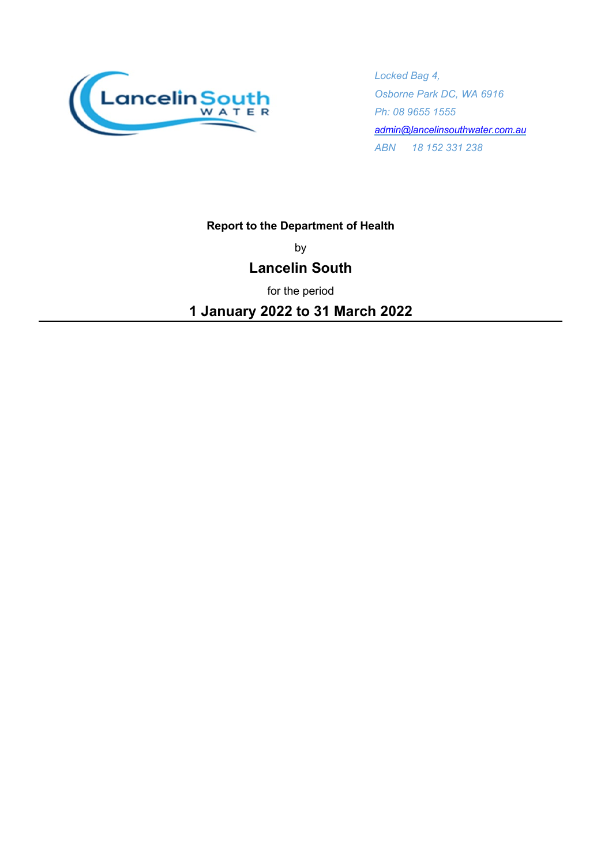

*Locked Bag 4, Osborne Park DC, WA 6916 Ph: 08 9655 1555 [admin@lancelinsouthwater.com.au](mailto:admin@lancelinsouthwater.com.au)  ABN 18 152 331 238*

### **Report to the Department of Health**

by

## **Lancelin South**

for the period

**1 January 2022 to 31 March 2022**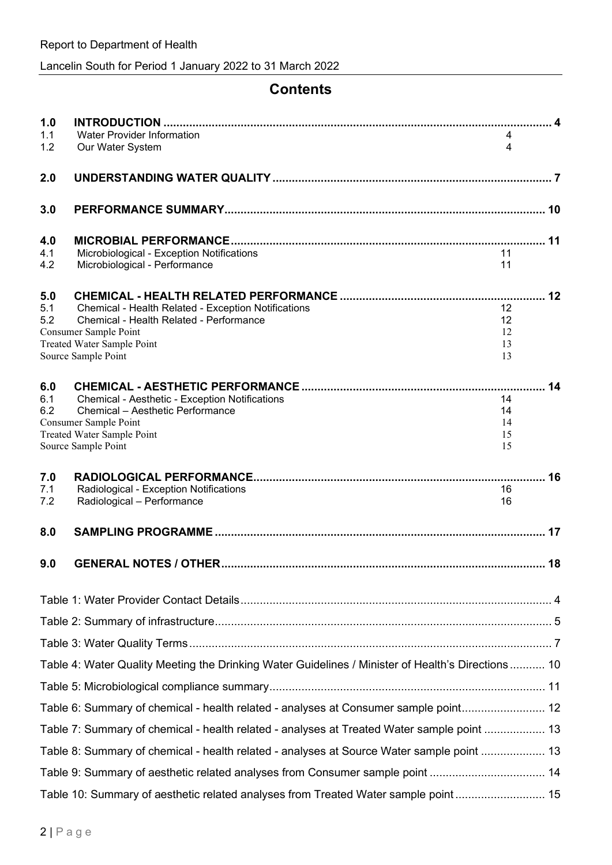# **Contents**

| 1.0        |                                                                                                   |          |    |
|------------|---------------------------------------------------------------------------------------------------|----------|----|
| 1.1<br>1.2 | Water Provider Information<br>Our Water System                                                    | 4<br>4   |    |
| 2.0        |                                                                                                   |          |    |
| 3.0        |                                                                                                   |          |    |
| 4.0        |                                                                                                   |          |    |
| 4.1        | Microbiological - Exception Notifications                                                         | 11       |    |
| 4.2        | Microbiological - Performance                                                                     | 11       |    |
| 5.0        |                                                                                                   |          | 12 |
| 5.1        | Chemical - Health Related - Exception Notifications                                               | 12       |    |
| 5.2        | Chemical - Health Related - Performance<br>Consumer Sample Point                                  | 12<br>12 |    |
|            | Treated Water Sample Point                                                                        | 13       |    |
|            | Source Sample Point                                                                               | 13       |    |
| 6.0        |                                                                                                   |          | 14 |
| 6.1        | Chemical - Aesthetic - Exception Notifications                                                    | 14       |    |
| 6.2        | Chemical - Aesthetic Performance<br>Consumer Sample Point                                         | 14<br>14 |    |
|            | Treated Water Sample Point                                                                        | 15       |    |
|            | Source Sample Point                                                                               | 15       |    |
| 7.0        |                                                                                                   |          | 16 |
| 7.1<br>7.2 | Radiological - Exception Notifications<br>Radiological - Performance                              | 16<br>16 |    |
|            |                                                                                                   |          |    |
| 8.0        |                                                                                                   |          | 17 |
| 9.0        |                                                                                                   |          |    |
|            |                                                                                                   |          |    |
|            |                                                                                                   |          |    |
|            |                                                                                                   |          |    |
|            | Table 4: Water Quality Meeting the Drinking Water Guidelines / Minister of Health's Directions 10 |          |    |
|            |                                                                                                   |          |    |
|            | Table 6: Summary of chemical - health related - analyses at Consumer sample point 12              |          |    |
|            | Table 7: Summary of chemical - health related - analyses at Treated Water sample point  13        |          |    |
|            | Table 8: Summary of chemical - health related - analyses at Source Water sample point  13         |          |    |
|            | Table 9: Summary of aesthetic related analyses from Consumer sample point  14                     |          |    |
|            | Table 10: Summary of aesthetic related analyses from Treated Water sample point 15                |          |    |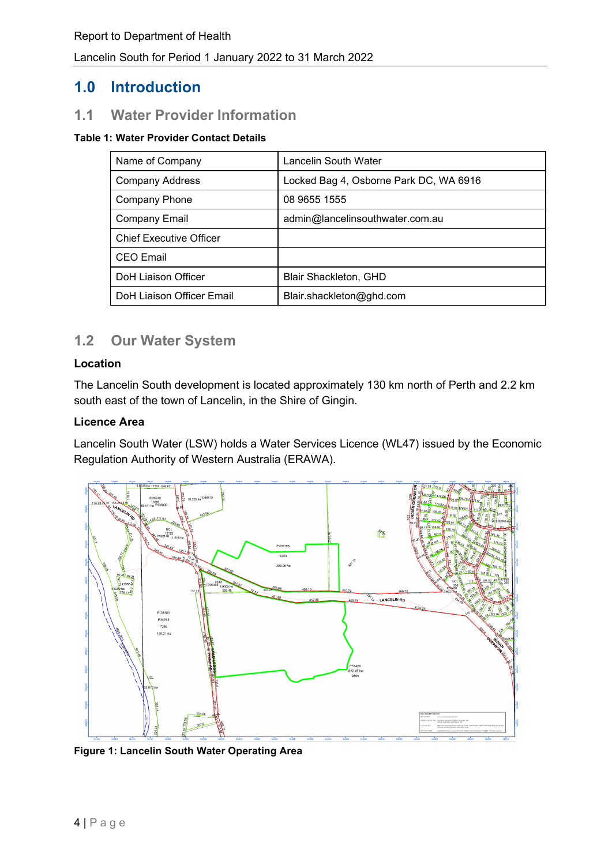## **1.0 Introduction**

## **1.1 Water Provider Information**

#### <span id="page-3-0"></span>**Table 1: Water Provider Contact Details**

| Name of Company                | Lancelin South Water                   |
|--------------------------------|----------------------------------------|
| <b>Company Address</b>         | Locked Bag 4, Osborne Park DC, WA 6916 |
| <b>Company Phone</b>           | 08 9655 1555                           |
| <b>Company Email</b>           | admin@lancelinsouthwater.com.au        |
| <b>Chief Executive Officer</b> |                                        |
| <b>CEO</b> Email               |                                        |
| <b>DoH Liaison Officer</b>     | <b>Blair Shackleton, GHD</b>           |
| DoH Liaison Officer Email      | Blair.shackleton@ghd.com               |

## **1.2 Our Water System**

#### **Location**

The Lancelin South development is located approximately 130 km north of Perth and 2.2 km south east of the town of Lancelin, in the Shire of Gingin.

#### **Licence Area**

Lancelin South Water (LSW) holds a Water Services Licence (WL47) issued by the Economic Regulation Authority of Western Australia (ERAWA).



<span id="page-3-1"></span>**Figure 1: Lancelin South Water Operating Area**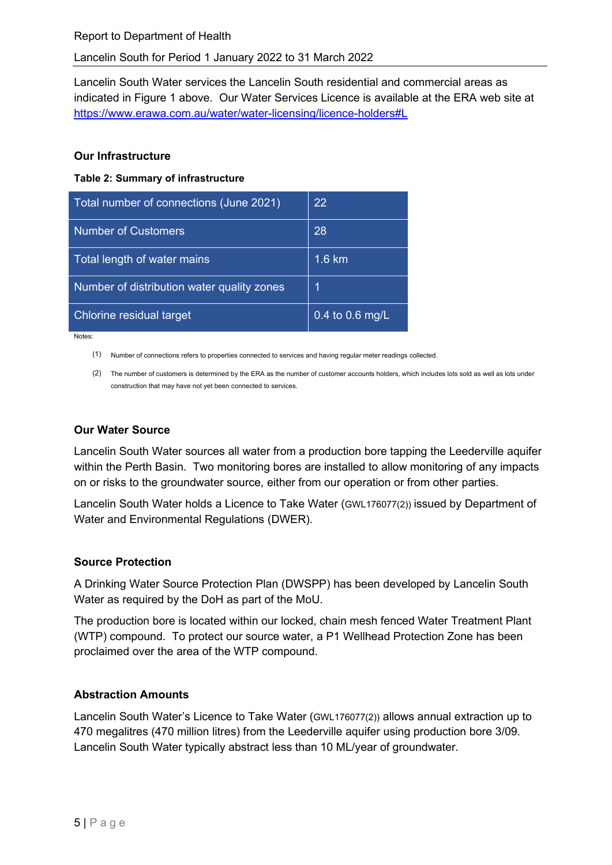Lancelin South Water services the Lancelin South residential and commercial areas as indicated in [Figure 1](#page-3-1) above. Our Water Services Licence is available at the ERA web site at <https://www.erawa.com.au/water/water-licensing/licence-holders#L>

#### **Our Infrastructure**

<span id="page-4-0"></span>**Table 2: Summary of infrastructure** 

| Total number of connections (June 2021)    | 22              |
|--------------------------------------------|-----------------|
| <b>Number of Customers</b>                 | 28              |
| Total length of water mains                | 1.6 km          |
| Number of distribution water quality zones | 1               |
| Chlorine residual target                   | 0.4 to 0.6 mg/L |

Notes:

(1) Number of connections refers to properties connected to services and having regular meter readings collected.

(2) The number of customers is determined by the ERA as the number of customer accounts holders, which includes lots sold as well as lots under construction that may have not yet been connected to services.

### **Our Water Source**

Lancelin South Water sources all water from a production bore tapping the Leederville aquifer within the Perth Basin. Two monitoring bores are installed to allow monitoring of any impacts on or risks to the groundwater source, either from our operation or from other parties.

Lancelin South Water holds a Licence to Take Water (GWL176077(2)) issued by Department of Water and Environmental Regulations (DWER).

#### **Source Protection**

A Drinking Water Source Protection Plan (DWSPP) has been developed by Lancelin South Water as required by the DoH as part of the MoU.

The production bore is located within our locked, chain mesh fenced Water Treatment Plant (WTP) compound. To protect our source water, a P1 Wellhead Protection Zone has been proclaimed over the area of the WTP compound.

#### **Abstraction Amounts**

Lancelin South Water's Licence to Take Water (GWL176077(2)) allows annual extraction up to 470 megalitres (470 million litres) from the Leederville aquifer using production bore 3/09. Lancelin South Water typically abstract less than 10 ML/year of groundwater.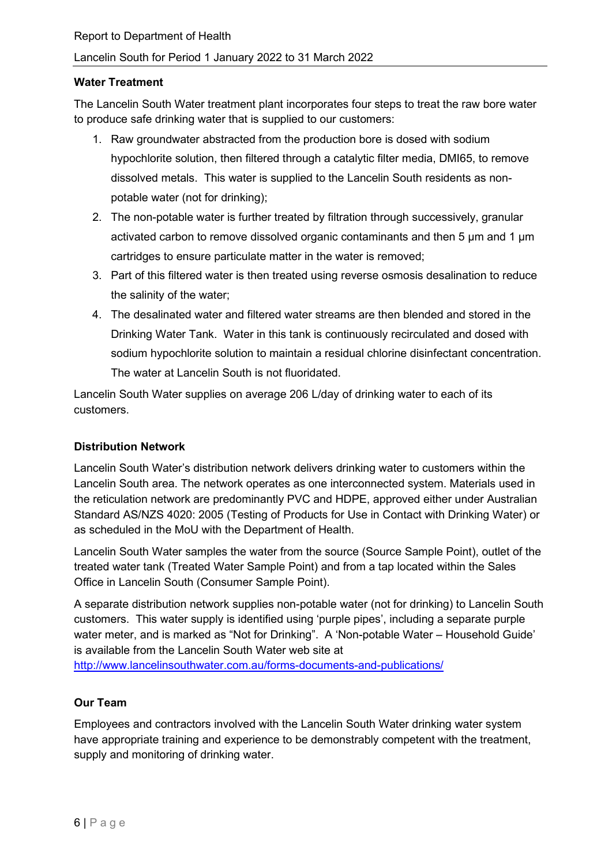#### **Water Treatment**

The Lancelin South Water treatment plant incorporates four steps to treat the raw bore water to produce safe drinking water that is supplied to our customers:

- 1. Raw groundwater abstracted from the production bore is dosed with sodium hypochlorite solution, then filtered through a catalytic filter media, DMI65, to remove dissolved metals. This water is supplied to the Lancelin South residents as nonpotable water (not for drinking);
- 2. The non-potable water is further treated by filtration through successively, granular activated carbon to remove dissolved organic contaminants and then 5 µm and 1 µm cartridges to ensure particulate matter in the water is removed;
- 3. Part of this filtered water is then treated using reverse osmosis desalination to reduce the salinity of the water;
- 4. The desalinated water and filtered water streams are then blended and stored in the Drinking Water Tank. Water in this tank is continuously recirculated and dosed with sodium hypochlorite solution to maintain a residual chlorine disinfectant concentration. The water at Lancelin South is not fluoridated.

Lancelin South Water supplies on average 206 L/day of drinking water to each of its customers.

#### **Distribution Network**

Lancelin South Water's distribution network delivers drinking water to customers within the Lancelin South area. The network operates as one interconnected system. Materials used in the reticulation network are predominantly PVC and HDPE, approved either under Australian Standard AS/NZS 4020: 2005 (Testing of Products for Use in Contact with Drinking Water) or as scheduled in the MoU with the Department of Health.

Lancelin South Water samples the water from the source (Source Sample Point), outlet of the treated water tank (Treated Water Sample Point) and from a tap located within the Sales Office in Lancelin South (Consumer Sample Point).

A separate distribution network supplies non-potable water (not for drinking) to Lancelin South customers. This water supply is identified using 'purple pipes', including a separate purple water meter, and is marked as "Not for Drinking". A 'Non-potable Water – Household Guide' is available from the Lancelin South Water web site at <http://www.lancelinsouthwater.com.au/forms-documents-and-publications/>

#### **Our Team**

Employees and contractors involved with the Lancelin South Water drinking water system have appropriate training and experience to be demonstrably competent with the treatment, supply and monitoring of drinking water.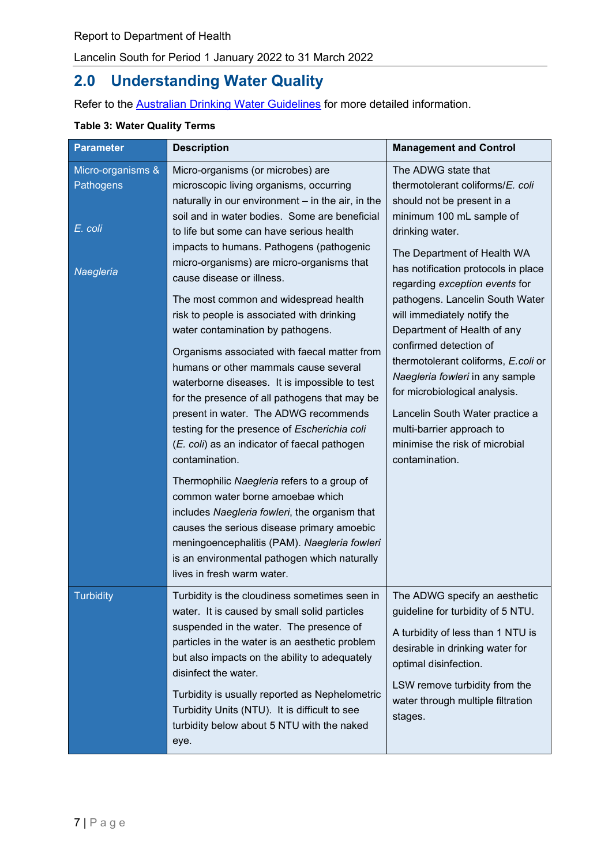# **2.0 Understanding Water Quality**

Refer to the **Australian Drinking Water Guidelines** for more detailed information.

### <span id="page-6-0"></span>**Table 3: Water Quality Terms**

| <b>Parameter</b>                          | <b>Description</b>                                                                                                                                                                                                                                                                                                                                                                                                                                                                                                                                                                                                                                                                                                                                                                            | <b>Management and Control</b>                                                                                                                                                                                                                                                                                                                                                                                                   |
|-------------------------------------------|-----------------------------------------------------------------------------------------------------------------------------------------------------------------------------------------------------------------------------------------------------------------------------------------------------------------------------------------------------------------------------------------------------------------------------------------------------------------------------------------------------------------------------------------------------------------------------------------------------------------------------------------------------------------------------------------------------------------------------------------------------------------------------------------------|---------------------------------------------------------------------------------------------------------------------------------------------------------------------------------------------------------------------------------------------------------------------------------------------------------------------------------------------------------------------------------------------------------------------------------|
| Micro-organisms &<br>Pathogens<br>E. coli | Micro-organisms (or microbes) are<br>microscopic living organisms, occurring<br>naturally in our environment - in the air, in the<br>soil and in water bodies. Some are beneficial<br>to life but some can have serious health<br>impacts to humans. Pathogens (pathogenic<br>micro-organisms) are micro-organisms that                                                                                                                                                                                                                                                                                                                                                                                                                                                                       | The ADWG state that<br>thermotolerant coliforms/E. coli<br>should not be present in a<br>minimum 100 mL sample of<br>drinking water.<br>The Department of Health WA                                                                                                                                                                                                                                                             |
| Naegleria                                 | cause disease or illness.<br>The most common and widespread health<br>risk to people is associated with drinking<br>water contamination by pathogens.<br>Organisms associated with faecal matter from<br>humans or other mammals cause several<br>waterborne diseases. It is impossible to test<br>for the presence of all pathogens that may be<br>present in water. The ADWG recommends<br>testing for the presence of Escherichia coli<br>(E. coli) as an indicator of faecal pathogen<br>contamination.<br>Thermophilic Naegleria refers to a group of<br>common water borne amoebae which<br>includes Naegleria fowleri, the organism that<br>causes the serious disease primary amoebic<br>meningoencephalitis (PAM). Naegleria fowleri<br>is an environmental pathogen which naturally | has notification protocols in place<br>regarding exception events for<br>pathogens. Lancelin South Water<br>will immediately notify the<br>Department of Health of any<br>confirmed detection of<br>thermotolerant coliforms, E.coli or<br>Naegleria fowleri in any sample<br>for microbiological analysis.<br>Lancelin South Water practice a<br>multi-barrier approach to<br>minimise the risk of microbial<br>contamination. |
| Turbidity                                 | lives in fresh warm water.<br>Turbidity is the cloudiness sometimes seen in   The ADWG specify an aesthetic                                                                                                                                                                                                                                                                                                                                                                                                                                                                                                                                                                                                                                                                                   |                                                                                                                                                                                                                                                                                                                                                                                                                                 |
|                                           | water. It is caused by small solid particles<br>suspended in the water. The presence of<br>particles in the water is an aesthetic problem<br>but also impacts on the ability to adequately<br>disinfect the water.                                                                                                                                                                                                                                                                                                                                                                                                                                                                                                                                                                            | guideline for turbidity of 5 NTU.<br>A turbidity of less than 1 NTU is<br>desirable in drinking water for<br>optimal disinfection.                                                                                                                                                                                                                                                                                              |
|                                           | Turbidity is usually reported as Nephelometric<br>Turbidity Units (NTU). It is difficult to see<br>turbidity below about 5 NTU with the naked<br>eye.                                                                                                                                                                                                                                                                                                                                                                                                                                                                                                                                                                                                                                         | LSW remove turbidity from the<br>water through multiple filtration<br>stages.                                                                                                                                                                                                                                                                                                                                                   |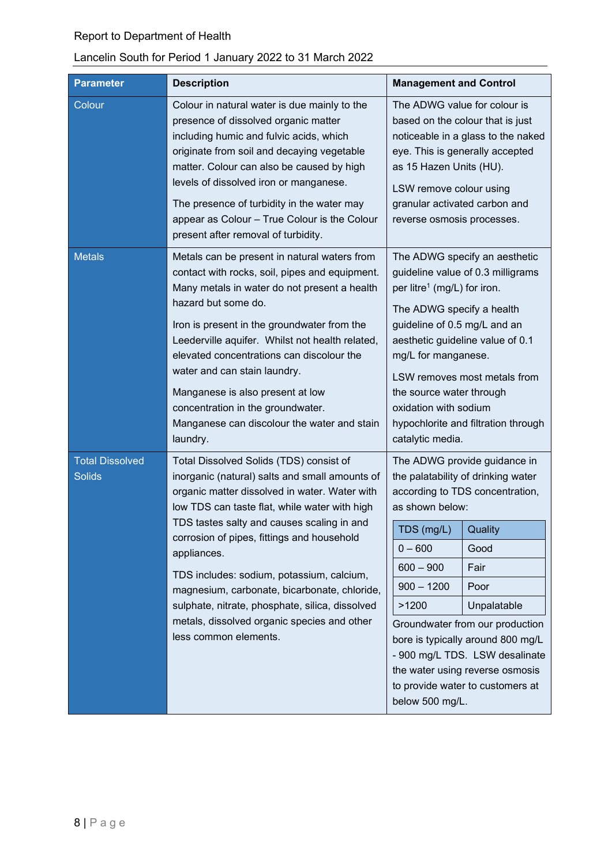## Report to Department of Health

## Lancelin South for Period 1 January 2022 to 31 March 2022

| <b>Parameter</b>                        | <b>Description</b><br><b>Management and Control</b>                                                                                                                                                                                                                                                                                                                                                                                                                                                                            |                                                                                                                                                                                                                                                                                                                                                                                                                                                   |  |  |
|-----------------------------------------|--------------------------------------------------------------------------------------------------------------------------------------------------------------------------------------------------------------------------------------------------------------------------------------------------------------------------------------------------------------------------------------------------------------------------------------------------------------------------------------------------------------------------------|---------------------------------------------------------------------------------------------------------------------------------------------------------------------------------------------------------------------------------------------------------------------------------------------------------------------------------------------------------------------------------------------------------------------------------------------------|--|--|
| Colour                                  | Colour in natural water is due mainly to the<br>presence of dissolved organic matter<br>including humic and fulvic acids, which<br>originate from soil and decaying vegetable<br>matter. Colour can also be caused by high<br>levels of dissolved iron or manganese.<br>The presence of turbidity in the water may<br>appear as Colour - True Colour is the Colour<br>present after removal of turbidity.                                                                                                                      | The ADWG value for colour is<br>based on the colour that is just<br>noticeable in a glass to the naked<br>eye. This is generally accepted<br>as 15 Hazen Units (HU).<br>LSW remove colour using<br>granular activated carbon and<br>reverse osmosis processes.                                                                                                                                                                                    |  |  |
| <b>Metals</b>                           | Metals can be present in natural waters from<br>contact with rocks, soil, pipes and equipment.<br>Many metals in water do not present a health<br>hazard but some do.<br>Iron is present in the groundwater from the<br>Leederville aquifer. Whilst not health related,<br>elevated concentrations can discolour the<br>water and can stain laundry.<br>Manganese is also present at low<br>concentration in the groundwater.<br>Manganese can discolour the water and stain<br>laundry.                                       | The ADWG specify an aesthetic<br>guideline value of 0.3 milligrams<br>per litre <sup>1</sup> (mg/L) for iron.<br>The ADWG specify a health<br>guideline of 0.5 mg/L and an<br>aesthetic guideline value of 0.1<br>mg/L for manganese.<br>LSW removes most metals from<br>the source water through<br>oxidation with sodium<br>hypochlorite and filtration through<br>catalytic media.                                                             |  |  |
| <b>Total Dissolved</b><br><b>Solids</b> | Total Dissolved Solids (TDS) consist of<br>inorganic (natural) salts and small amounts of<br>organic matter dissolved in water. Water with<br>low TDS can taste flat, while water with high<br>TDS tastes salty and causes scaling in and<br>corrosion of pipes, fittings and household<br>appliances.<br>TDS includes: sodium, potassium, calcium,<br>magnesium, carbonate, bicarbonate, chloride,<br>sulphate, nitrate, phosphate, silica, dissolved<br>metals, dissolved organic species and other<br>less common elements. | The ADWG provide guidance in<br>the palatability of drinking water<br>according to TDS concentration,<br>as shown below:<br>Quality<br>TDS (mg/L)<br>$0 - 600$<br>Good<br>$600 - 900$<br>Fair<br>$900 - 1200$<br>Poor<br>Unpalatable<br>>1200<br>Groundwater from our production<br>bore is typically around 800 mg/L<br>- 900 mg/L TDS. LSW desalinate<br>the water using reverse osmosis<br>to provide water to customers at<br>below 500 mg/L. |  |  |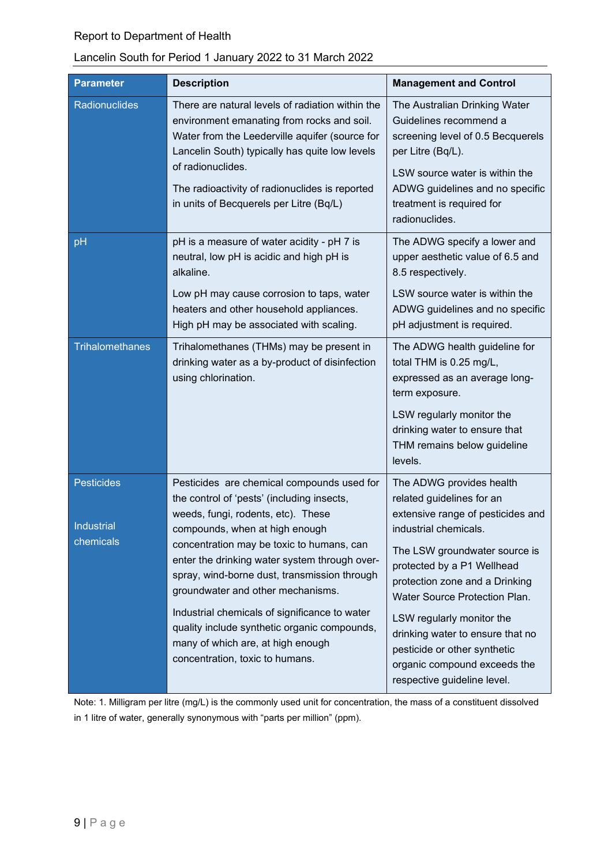### Report to Department of Health

### Lancelin South for Period 1 January 2022 to 31 March 2022

| <b>Parameter</b>                      | <b>Description</b>                                                                                                                                                                                                                                                                                                                                                                                                                                                                                                           | <b>Management and Control</b>                                                                                                                                                                                                                                                                                                                                                                                         |
|---------------------------------------|------------------------------------------------------------------------------------------------------------------------------------------------------------------------------------------------------------------------------------------------------------------------------------------------------------------------------------------------------------------------------------------------------------------------------------------------------------------------------------------------------------------------------|-----------------------------------------------------------------------------------------------------------------------------------------------------------------------------------------------------------------------------------------------------------------------------------------------------------------------------------------------------------------------------------------------------------------------|
| Radionuclides                         | There are natural levels of radiation within the<br>environment emanating from rocks and soil.<br>Water from the Leederville aquifer (source for<br>Lancelin South) typically has quite low levels<br>of radionuclides.<br>The radioactivity of radionuclides is reported<br>in units of Becquerels per Litre (Bq/L)                                                                                                                                                                                                         | The Australian Drinking Water<br>Guidelines recommend a<br>screening level of 0.5 Becquerels<br>per Litre (Bq/L).<br>LSW source water is within the<br>ADWG guidelines and no specific<br>treatment is required for<br>radionuclides.                                                                                                                                                                                 |
| pH                                    | pH is a measure of water acidity - pH 7 is<br>neutral, low pH is acidic and high pH is<br>alkaline.<br>Low pH may cause corrosion to taps, water<br>heaters and other household appliances.<br>High pH may be associated with scaling.                                                                                                                                                                                                                                                                                       | The ADWG specify a lower and<br>upper aesthetic value of 6.5 and<br>8.5 respectively.<br>LSW source water is within the<br>ADWG guidelines and no specific<br>pH adjustment is required.                                                                                                                                                                                                                              |
| Trihalomethanes                       | Trihalomethanes (THMs) may be present in<br>drinking water as a by-product of disinfection<br>using chlorination.                                                                                                                                                                                                                                                                                                                                                                                                            | The ADWG health guideline for<br>total THM is 0.25 mg/L,<br>expressed as an average long-<br>term exposure.<br>LSW regularly monitor the<br>drinking water to ensure that<br>THM remains below guideline<br>levels.                                                                                                                                                                                                   |
| Pesticides<br>Industrial<br>chemicals | Pesticides are chemical compounds used for<br>the control of 'pests' (including insects,<br>weeds, fungi, rodents, etc). These<br>compounds, when at high enough<br>concentration may be toxic to humans, can<br>enter the drinking water system through over-<br>spray, wind-borne dust, transmission through<br>groundwater and other mechanisms.<br>Industrial chemicals of significance to water<br>quality include synthetic organic compounds,<br>many of which are, at high enough<br>concentration, toxic to humans. | The ADWG provides health<br>related guidelines for an<br>extensive range of pesticides and<br>industrial chemicals.<br>The LSW groundwater source is<br>protected by a P1 Wellhead<br>protection zone and a Drinking<br>Water Source Protection Plan.<br>LSW regularly monitor the<br>drinking water to ensure that no<br>pesticide or other synthetic<br>organic compound exceeds the<br>respective guideline level. |

Note: 1. Milligram per litre (mg/L) is the commonly used unit for concentration, the mass of a constituent dissolved in 1 litre of water, generally synonymous with "parts per million" (ppm).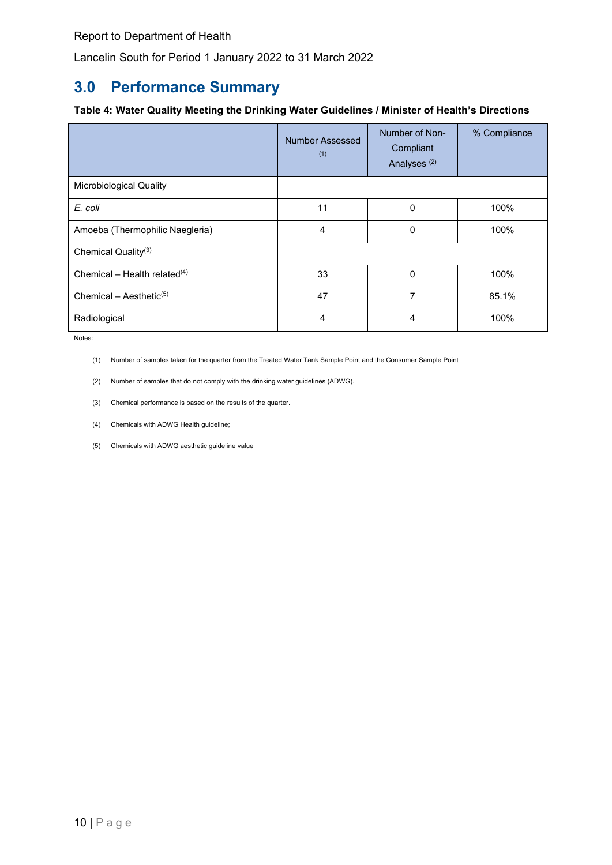# **3.0 Performance Summary**

#### <span id="page-9-0"></span>**Table 4: Water Quality Meeting the Drinking Water Guidelines / Minister of Health's Directions**

|                                     | <b>Number Assessed</b><br>(1) | Number of Non-<br>Compliant<br>Analyses <sup>(2)</sup> | % Compliance |
|-------------------------------------|-------------------------------|--------------------------------------------------------|--------------|
| <b>Microbiological Quality</b>      |                               |                                                        |              |
| E. coli                             | 11                            | 0                                                      | 100%         |
| Amoeba (Thermophilic Naegleria)     | $\overline{4}$                | 0                                                      | 100%         |
| Chemical Quality <sup>(3)</sup>     |                               |                                                        |              |
| Chemical – Health related $(4)$     | 33                            | 0                                                      | 100%         |
| Chemical - Aesthetic <sup>(5)</sup> | 47                            | 7                                                      | 85.1%        |
| Radiological                        | $\overline{4}$                | 4                                                      | 100%         |

Notes:

(1) Number of samples taken for the quarter from the Treated Water Tank Sample Point and the Consumer Sample Point

- (2) Number of samples that do not comply with the drinking water guidelines (ADWG).
- (3) Chemical performance is based on the results of the quarter.
- (4) Chemicals with ADWG Health guideline;
- (5) Chemicals with ADWG aesthetic guideline value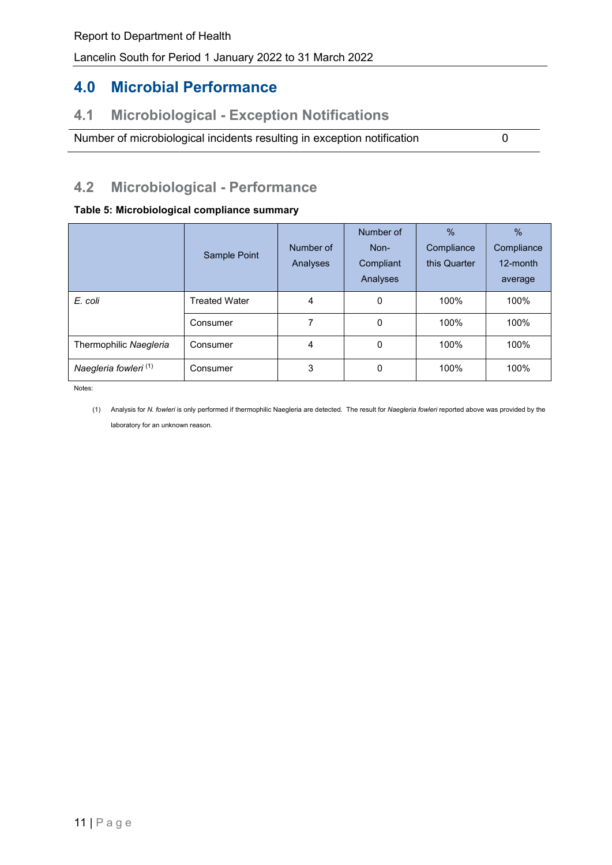# **4.0 Microbial Performance**

## **4.1 Microbiological - Exception Notifications**

Number of microbiological incidents resulting in exception notification 0

## **4.2 Microbiological - Performance**

#### <span id="page-10-0"></span>**Table 5: Microbiological compliance summary**

|                                  | Sample Point         | Number of<br>Analyses | Number of<br>Non-<br>Compliant<br>Analyses | $\%$<br>Compliance<br>this Quarter | $\%$<br>Compliance<br>12-month<br>average |
|----------------------------------|----------------------|-----------------------|--------------------------------------------|------------------------------------|-------------------------------------------|
| E. coli                          | <b>Treated Water</b> | 4                     | 0                                          | 100%                               | 100%                                      |
|                                  | Consumer             | 7                     | 0                                          | 100%                               | 100%                                      |
| Thermophilic Naegleria           | Consumer             | $\overline{4}$        | 0                                          | 100%                               | 100%                                      |
| Naegleria fowleri <sup>(1)</sup> | Consumer             | 3                     | 0                                          | 100%                               | 100%                                      |

Notes:

(1) Analysis for *N. fowleri* is only performed if thermophilic Naegleria are detected. The result for *Naegleria fowleri* reported above was provided by the laboratory for an unknown reason.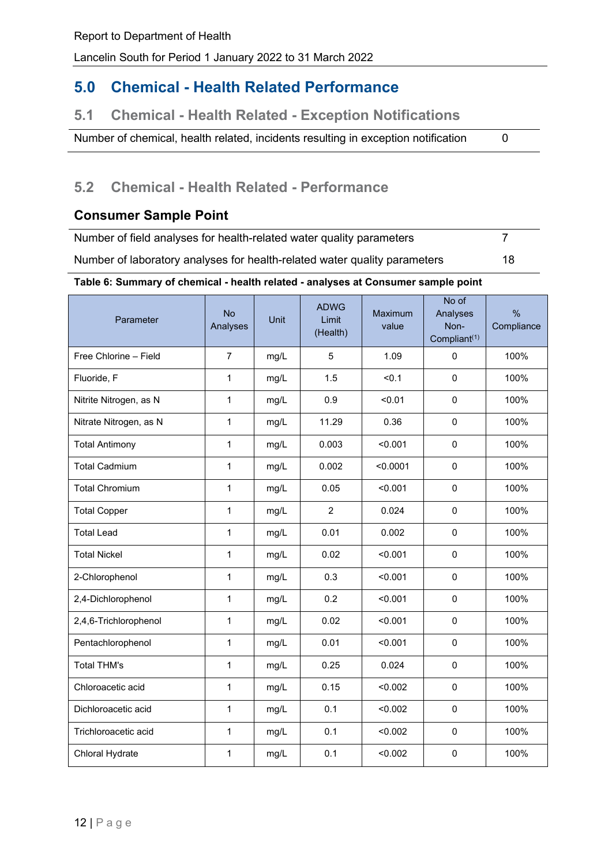## **5.0 Chemical - Health Related Performance**

## **5.1 Chemical - Health Related - Exception Notifications**

Number of chemical, health related, incidents resulting in exception notification 0

## **5.2 Chemical - Health Related - Performance**

## **Consumer Sample Point**

Number of field analyses for health-related water quality parameters 7 Number of laboratory analyses for health-related water quality parameters 18

#### <span id="page-11-0"></span>**Table 6: Summary of chemical - health related - analyses at Consumer sample point**

| Parameter              | <b>No</b><br>Analyses | Unit | <b>ADWG</b><br>Limit<br>(Health) | Maximum<br>value | No of<br>Analyses<br>Non-<br>Compliant <sup>(1)</sup> | $\frac{0}{0}$<br>Compliance |
|------------------------|-----------------------|------|----------------------------------|------------------|-------------------------------------------------------|-----------------------------|
| Free Chlorine - Field  | $\overline{7}$        | mg/L | 5                                | 1.09             | 0                                                     | 100%                        |
| Fluoride, F            | 1                     | mg/L | 1.5                              | < 0.1            | $\mathsf 0$                                           | 100%                        |
| Nitrite Nitrogen, as N | $\mathbf{1}$          | mg/L | 0.9                              | < 0.01           | 0                                                     | 100%                        |
| Nitrate Nitrogen, as N | 1                     | mg/L | 11.29                            | 0.36             | 0                                                     | 100%                        |
| <b>Total Antimony</b>  | 1                     | mg/L | 0.003                            | < 0.001          | 0                                                     | 100%                        |
| <b>Total Cadmium</b>   | 1                     | mg/L | 0.002                            | < 0.0001         | 0                                                     | 100%                        |
| <b>Total Chromium</b>  | 1                     | mg/L | 0.05                             | < 0.001          | 0                                                     | 100%                        |
| <b>Total Copper</b>    | $\mathbf{1}$          | mg/L | $\overline{2}$                   | 0.024            | 0                                                     | 100%                        |
| <b>Total Lead</b>      | $\mathbf{1}$          | mg/L | 0.01                             | 0.002            | 0                                                     | 100%                        |
| <b>Total Nickel</b>    | $\mathbf{1}$          | mg/L | 0.02                             | < 0.001          | 0                                                     | 100%                        |
| 2-Chlorophenol         | $\mathbf{1}$          | mg/L | 0.3                              | < 0.001          | 0                                                     | 100%                        |
| 2,4-Dichlorophenol     | $\mathbf{1}$          | mg/L | 0.2                              | < 0.001          | 0                                                     | 100%                        |
| 2,4,6-Trichlorophenol  | $\mathbf{1}$          | mg/L | 0.02                             | < 0.001          | 0                                                     | 100%                        |
| Pentachlorophenol      | $\mathbf{1}$          | mg/L | 0.01                             | < 0.001          | 0                                                     | 100%                        |
| <b>Total THM's</b>     | $\mathbf{1}$          | mg/L | 0.25                             | 0.024            | 0                                                     | 100%                        |
| Chloroacetic acid      | $\mathbf{1}$          | mg/L | 0.15                             | < 0.002          | 0                                                     | 100%                        |
| Dichloroacetic acid    | $\mathbf{1}$          | mg/L | 0.1                              | < 0.002          | 0                                                     | 100%                        |
| Trichloroacetic acid   | 1                     | mg/L | 0.1                              | < 0.002          | 0                                                     | 100%                        |
| Chloral Hydrate        | $\mathbf{1}$          | mg/L | 0.1                              | < 0.002          | 0                                                     | 100%                        |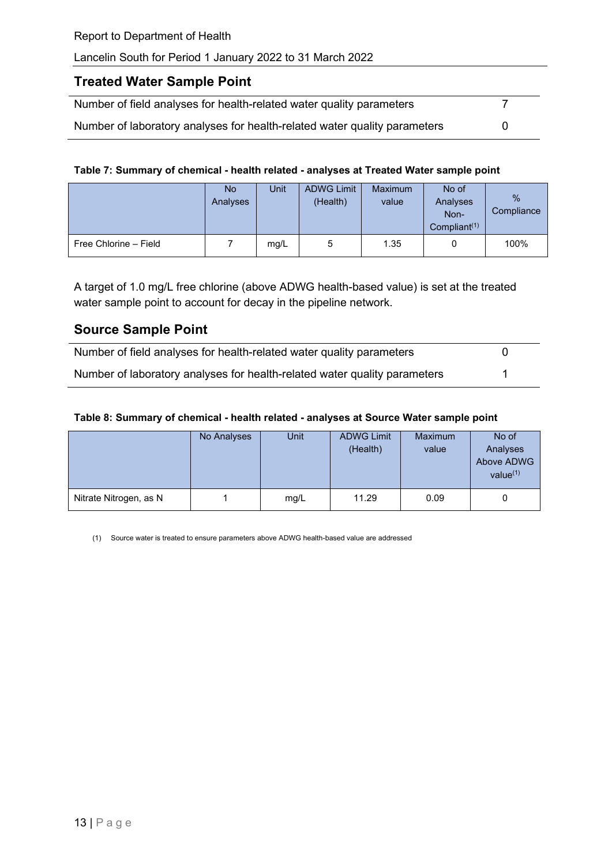### **Treated Water Sample Point**

| Number of field analyses for health-related water quality parameters      |  |
|---------------------------------------------------------------------------|--|
| Number of laboratory analyses for health-related water quality parameters |  |

#### <span id="page-12-0"></span>**Table 7: Summary of chemical - health related - analyses at Treated Water sample point**

|                       | <b>No</b><br>Analyses | Unit | <b>ADWG Limit</b><br>(Health) | <b>Maximum</b><br>value | No of<br>Analyses<br>Non-<br>Compliant <sup>(1)</sup> | $\%$<br>Compliance |
|-----------------------|-----------------------|------|-------------------------------|-------------------------|-------------------------------------------------------|--------------------|
| Free Chlorine - Field |                       | mg/L | 5                             | 1.35                    | 0                                                     | 100%               |

A target of 1.0 mg/L free chlorine (above ADWG health-based value) is set at the treated water sample point to account for decay in the pipeline network.

### **Source Sample Point**

| Number of field analyses for health-related water quality parameters      |  |
|---------------------------------------------------------------------------|--|
| Number of laboratory analyses for health-related water quality parameters |  |

#### <span id="page-12-1"></span>**Table 8: Summary of chemical - health related - analyses at Source Water sample point**

|                        | No Analyses | <b>Unit</b> | <b>ADWG Limit</b><br>(Health) | <b>Maximum</b><br>value | No of<br>Analyses<br>Above ADWG<br>value $(1)$ |
|------------------------|-------------|-------------|-------------------------------|-------------------------|------------------------------------------------|
| Nitrate Nitrogen, as N |             | mg/L        | 11.29                         | 0.09                    |                                                |

(1) Source water is treated to ensure parameters above ADWG health-based value are addressed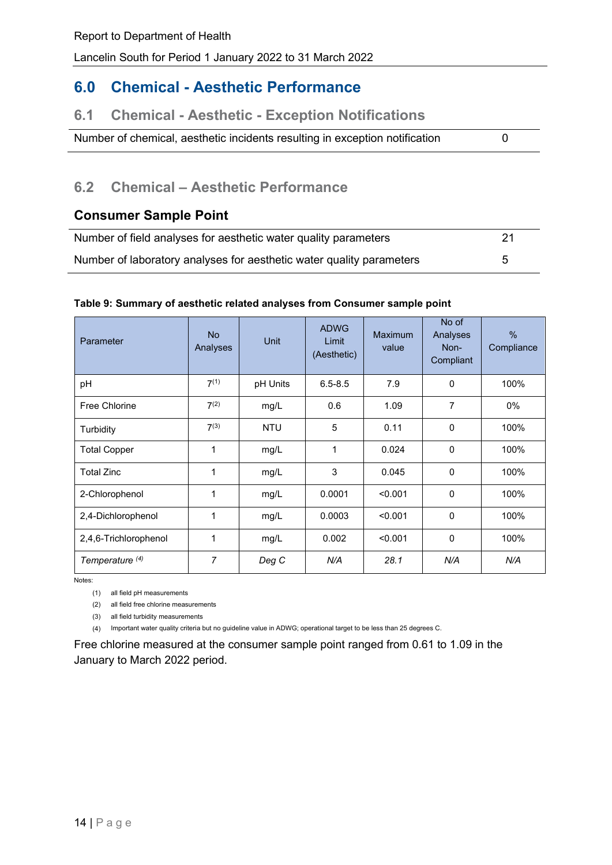# **6.0 Chemical - Aesthetic Performance**

## **6.1 Chemical - Aesthetic - Exception Notifications**

Number of chemical, aesthetic incidents resulting in exception notification 0

## **6.2 Chemical – Aesthetic Performance**

### **Consumer Sample Point**

| Number of field analyses for aesthetic water quality parameters      | 21 |
|----------------------------------------------------------------------|----|
| Number of laboratory analyses for aesthetic water quality parameters |    |

#### <span id="page-13-0"></span>**Table 9: Summary of aesthetic related analyses from Consumer sample point**

| Parameter                  | <b>No</b><br>Analyses | Unit       | <b>ADWG</b><br>Limit<br>(Aesthetic) | <b>Maximum</b><br>value | No of<br>Analyses<br>Non-<br>Compliant | %<br>Compliance |
|----------------------------|-----------------------|------------|-------------------------------------|-------------------------|----------------------------------------|-----------------|
| pH                         | $7^{(1)}$             | pH Units   | $6.5 - 8.5$                         | 7.9                     | $\Omega$                               | 100%            |
| Free Chlorine              | 7 <sup>(2)</sup>      | mg/L       | 0.6                                 | 1.09                    | $\overline{7}$                         | $0\%$           |
| Turbidity                  | $7^{(3)}$             | <b>NTU</b> | 5                                   | 0.11                    | $\mathbf{0}$                           | 100%            |
| <b>Total Copper</b>        | 1                     | mg/L       | 1                                   | 0.024                   | $\Omega$                               | 100%            |
| <b>Total Zinc</b>          | $\mathbf{1}$          | mg/L       | 3                                   | 0.045                   | $\Omega$                               | 100%            |
| 2-Chlorophenol             | 1                     | mg/L       | 0.0001                              | < 0.001                 | $\Omega$                               | 100%            |
| 2,4-Dichlorophenol         | 1                     | mg/L       | 0.0003                              | < 0.001                 | $\mathbf 0$                            | 100%            |
| 2,4,6-Trichlorophenol      | $\mathbf{1}$          | mg/L       | 0.002                               | < 0.001                 | $\Omega$                               | 100%            |
| Temperature <sup>(4)</sup> | $\overline{7}$        | Deg C      | N/A                                 | 28.1                    | N/A                                    | N/A             |

Notes:

(1) all field pH measurements

(2) all field free chlorine measurements

(3) all field turbidity measurements

(4) Important water quality criteria but no guideline value in ADWG; operational target to be less than 25 degrees C.

Free chlorine measured at the consumer sample point ranged from 0.61 to 1.09 in the January to March 2022 period.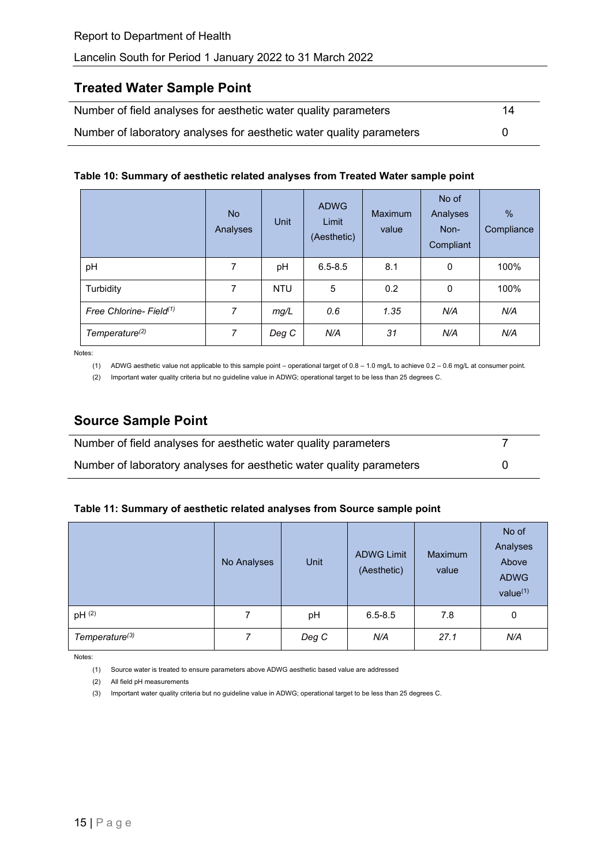### **Treated Water Sample Point**

| Number of field analyses for aesthetic water quality parameters      | 14 |
|----------------------------------------------------------------------|----|
| Number of laboratory analyses for aesthetic water quality parameters |    |

#### <span id="page-14-0"></span>**Table 10: Summary of aesthetic related analyses from Treated Water sample point**

|                                     | N <sub>o</sub><br>Analyses | <b>Unit</b> | <b>ADWG</b><br>Limit<br>(Aesthetic) | <b>Maximum</b><br>value | No of<br>Analyses<br>Non-<br>Compliant | $\%$<br>Compliance |
|-------------------------------------|----------------------------|-------------|-------------------------------------|-------------------------|----------------------------------------|--------------------|
| pH                                  | 7                          | pH          | $6.5 - 8.5$                         | 8.1                     | 0                                      | 100%               |
| Turbidity                           | 7                          | <b>NTU</b>  | 5                                   | 0.2                     | 0                                      | 100%               |
| Free Chlorine- Field <sup>(1)</sup> | 7                          | mg/L        | 0.6                                 | 1.35                    | N/A                                    | N/A                |
| Temperature <sup>(2)</sup>          | 7                          | Deg C       | N/A                                 | 31                      | N/A                                    | N/A                |

Notes:

(1) ADWG aesthetic value not applicable to this sample point – operational target of 0.8 – 1.0 mg/L to achieve 0.2 – 0.6 mg/L at consumer point.

(2) Important water quality criteria but no guideline value in ADWG; operational target to be less than 25 degrees C.

## **Source Sample Point**

| Number of field analyses for aesthetic water quality parameters      |  |
|----------------------------------------------------------------------|--|
| Number of laboratory analyses for aesthetic water quality parameters |  |

#### <span id="page-14-1"></span>**Table 11: Summary of aesthetic related analyses from Source sample point**

|                            | No Analyses | Unit  | <b>ADWG Limit</b><br>(Aesthetic) | <b>Maximum</b><br>value | No of<br>Analyses<br>Above<br><b>ADWG</b><br>value <sup>(1)</sup> |
|----------------------------|-------------|-------|----------------------------------|-------------------------|-------------------------------------------------------------------|
| pH (2)                     | 7           | pH    | $6.5 - 8.5$                      | 7.8                     | 0                                                                 |
| Temperature <sup>(3)</sup> | 7           | Deg C | N/A                              | 27.1                    | N/A                                                               |

Notes:

(1) Source water is treated to ensure parameters above ADWG aesthetic based value are addressed

(2) All field pH measurements

(3) Important water quality criteria but no guideline value in ADWG; operational target to be less than 25 degrees C.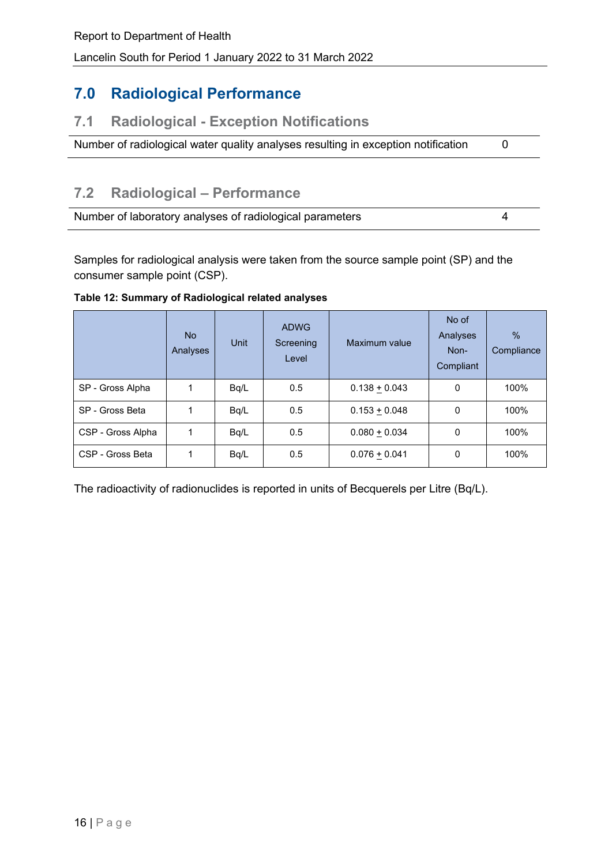# **7.0 Radiological Performance**

## **7.1 Radiological - Exception Notifications**

Number of radiological water quality analyses resulting in exception notification 0

# **7.2 Radiological – Performance**

| Number of laboratory analyses of radiological parameters |  |
|----------------------------------------------------------|--|
|----------------------------------------------------------|--|

Samples for radiological analysis were taken from the source sample point (SP) and the consumer sample point (CSP).

#### <span id="page-15-0"></span>**Table 12: Summary of Radiological related analyses**

|                   | No.<br>Analyses | Unit | <b>ADWG</b><br>Screening<br>Level | Maximum value   | No of<br>Analyses<br>Non-<br>Compliant | $\frac{0}{6}$<br>Compliance |
|-------------------|-----------------|------|-----------------------------------|-----------------|----------------------------------------|-----------------------------|
| SP - Gross Alpha  | 1               | Bq/L | 0.5                               | $0.138 + 0.043$ | 0                                      | 100%                        |
| SP - Gross Beta   | 1               | Bq/L | 0.5                               | $0.153 + 0.048$ | 0                                      | 100%                        |
| CSP - Gross Alpha | 1               | Bq/L | 0.5                               | $0.080 + 0.034$ | 0                                      | 100%                        |
| CSP - Gross Beta  | 1               | Bq/L | 0.5                               | $0.076 + 0.041$ | 0                                      | 100%                        |

The radioactivity of radionuclides is reported in units of Becquerels per Litre (Bq/L).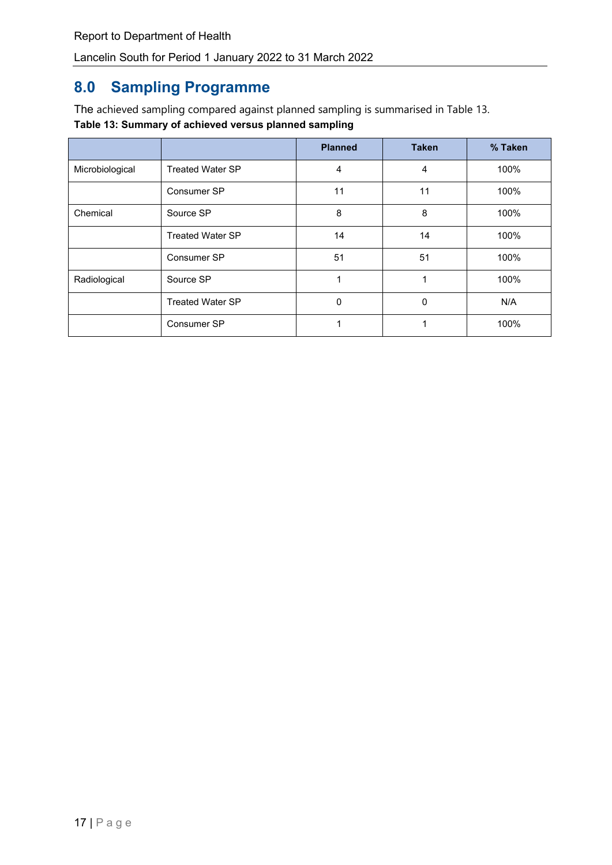# **8.0 Sampling Programme**

<span id="page-16-0"></span>The achieved sampling compared against planned sampling is summarised in Table 13. **Table 13: Summary of achieved versus planned sampling**

|                 |                         | <b>Planned</b> | <b>Taken</b> | % Taken |
|-----------------|-------------------------|----------------|--------------|---------|
| Microbiological | <b>Treated Water SP</b> | 4              | 4            | 100%    |
|                 | Consumer SP             | 11             | 11           | 100%    |
| Chemical        | Source SP               | 8              | 8            | 100%    |
|                 | <b>Treated Water SP</b> | 14             | 14           | 100%    |
|                 | Consumer SP             | 51             | 51           | 100%    |
| Radiological    | Source SP               |                |              | 100%    |
|                 | <b>Treated Water SP</b> | $\Omega$       | 0            | N/A     |
|                 | Consumer SP             |                |              | 100%    |